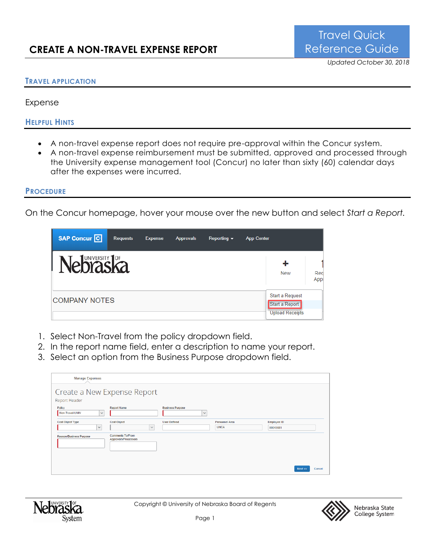#### **TRAVEL APPLICATION**

Expense

**HELPFUL HINTS**

- A non-travel expense report does not require pre-approval within the Concur system.
- A non-travel expense reimbursement must be submitted, approved and processed through the University expense management tool (Concur) no later than sixty (60) calendar days after the expenses were incurred.

#### **PROCEDURE**

On the Concur homepage, hover your mouse over the new button and select *Start a Report.*

| SAP Concur <sup>C</sup>    | <b>Requests</b> | <b>Expense</b> | <b>Approvals</b> | Reporting $\sim$ | <b>App Center</b>                                           |             |
|----------------------------|-----------------|----------------|------------------|------------------|-------------------------------------------------------------|-------------|
| UNIVERSITY <sup>1</sup> OF |                 |                |                  |                  | ╋<br><b>New</b>                                             | Red<br>Appl |
| <b>COMPANY NOTES</b>       |                 |                |                  |                  | Start a Request<br>Start a Report<br><b>Upload Receipts</b> |             |

- 1. Select Non-Travel from the policy dropdown field.
- 2. In the report name field, enter a description to name your report.
- 3. Select an option from the Business Purpose dropdown field.

| <b>Manage Expenses</b>                       |                                                 |                                         |                                      |                         |        |  |
|----------------------------------------------|-------------------------------------------------|-----------------------------------------|--------------------------------------|-------------------------|--------|--|
| Create a New Expense Report<br>Report Header |                                                 |                                         |                                      |                         |        |  |
| Policy<br>Non-Travel-UNIV<br>$\checkmark$    | <b>Report Name</b>                              | <b>Business Purpose</b><br>$\checkmark$ |                                      |                         |        |  |
| <b>Cost Object Type</b><br>$\checkmark$      | <b>Cost Object</b><br>$\checkmark$              | <b>User Defined</b>                     | <b>Personnel Area</b><br><b>UNCA</b> | Employee ID<br>00043081 |        |  |
| <b>Reason/Business Purpose</b>               | <b>Comments To/From</b><br>Approvers/Processors |                                         |                                      |                         |        |  |
|                                              |                                                 |                                         |                                      | Next                    | Cancel |  |



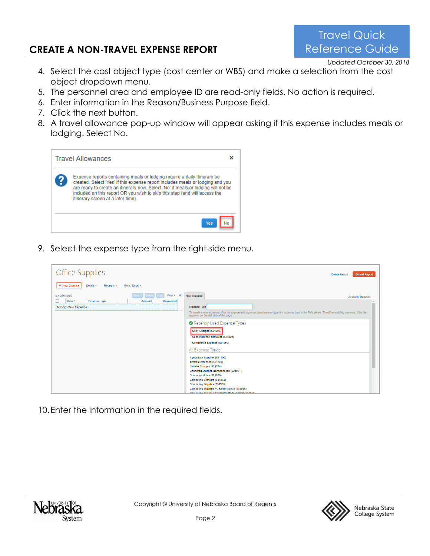# **CREATE A NON-TRAVEL EXPENSE REPORT**

Travel Quick Reference Guide

*Updated October 30, 2018*

- 4. Select the cost object type (cost center or WBS) and make a selection from the cost object dropdown menu.
- 5. The personnel area and employee ID are read-only fields. No action is required.
- 6. Enter information in the Reason/Business Purpose field.
- 7. Click the next button.
- 8. A travel allowance pop-up window will appear asking if this expense includes meals or lodging. Select No.



9. Select the expense type from the right-side menu.

| <b>Office Supplies</b>                                                       | <b>Submit Report</b><br><b>Delete Report</b>                                                                                                                                                                                                                                                               |
|------------------------------------------------------------------------------|------------------------------------------------------------------------------------------------------------------------------------------------------------------------------------------------------------------------------------------------------------------------------------------------------------|
| + New Expense<br>Details v<br>Receipts *<br>Print / Email *                  |                                                                                                                                                                                                                                                                                                            |
| Expenses<br>View * «<br>Date v<br><b>Expense Type</b><br>Amount<br>Requested | New Expense<br><b>Available Receipts</b>                                                                                                                                                                                                                                                                   |
| <b>Adding New Expense</b>                                                    | Expense Type<br>To create a new expense, click the appropriate expense type below or type the expense type in the field above. To edit an existing expense, click the<br>expense on the left side of the page.<br>Recently Used Expense Types<br>Copy Charges (521500)<br>Subscriptions/Fees/Dues (521800) |
|                                                                              | Conference Expense (521900)<br>All Expense Types<br>Agricultural Supplies (531500)<br>Awards Expenses (521700)<br>Cellular Charges (521204)                                                                                                                                                                |
|                                                                              | Chartered Student Transportation (521951)<br>Communications (521200)<br>Computing Software (531952)<br>Computing Supplies (531900)<br>Computing Supplies PC Under \$5000 (531955)<br>Computing Supplies-PC Printer Under \$5000 (531950).                                                                  |

10.Enter the information in the required fields.



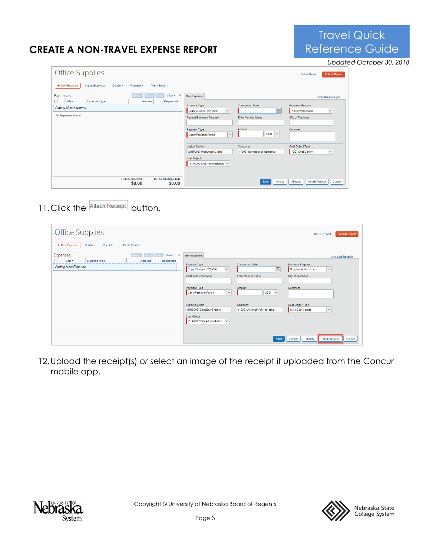# **CREATE A NON-TRAVEL EXPENSE REPORT**

|                                                                                                              |                                                                                                                                                       |                                                                                  |                                                                                                   | Updated October 30, 2018 |
|--------------------------------------------------------------------------------------------------------------|-------------------------------------------------------------------------------------------------------------------------------------------------------|----------------------------------------------------------------------------------|---------------------------------------------------------------------------------------------------|--------------------------|
| <b>Office Supplies</b>                                                                                       |                                                                                                                                                       |                                                                                  | <b>Submit Report</b><br><b>Delete Report</b>                                                      |                          |
| + New Expense<br><b>Import Expenses</b><br>Print / Email *<br>Details <b>v</b><br>Receipts <b>v</b>          |                                                                                                                                                       |                                                                                  |                                                                                                   |                          |
| Expenses<br>View * «                                                                                         | New Expense                                                                                                                                           |                                                                                  | <b>Available Receipts</b>                                                                         |                          |
| <b>Expense Type</b><br>Requested<br>Date v<br>Amount<br>π.<br><b>Adding New Expense</b><br>No Expenses Found | <b>Expense Type</b><br>$\checkmark$<br>Copy Charges (521500)<br><b>Reason/Business Purpose</b><br>Payment Type<br>$\checkmark$<br>Cash/Personal Funds | <b>Transaction Date</b><br>圃<br><b>Enter Vendor Name</b><br>Amount<br>$USD \sim$ | <b>Business Purpose</b><br>Books/Videos/etc<br>$\checkmark$<br><b>City of Purchase</b><br>Comment |                          |
|                                                                                                              | <b>Logical System</b><br>(UNP005) Production Client                                                                                                   | Company<br>(1000) University of Nebraska                                         | <b>Cost Object Type</b><br>(CC) Cost Center<br>$\checkmark$                                       |                          |
|                                                                                                              | <b>Cost Object</b><br>$(9146200500)$ Administrative $\sim$                                                                                            |                                                                                  |                                                                                                   |                          |
| <b>TOTAL AMOUNT</b><br><b>TOTAL REQUESTED</b><br>\$0.00<br>\$0.00                                            |                                                                                                                                                       | Itemize<br><b>Save</b>                                                           | <b>Attach Receipt</b><br>Allocate<br>Cancel                                                       |                          |

11. Click the **Attach Receipt** button.

| <b>Office Supplies</b>                                                                                                 |                                                                                                                                                                     |                                                                                    | <b>Submit Report</b><br><b>Delete Report</b>                                                                                 |
|------------------------------------------------------------------------------------------------------------------------|---------------------------------------------------------------------------------------------------------------------------------------------------------------------|------------------------------------------------------------------------------------|------------------------------------------------------------------------------------------------------------------------------|
| + New Expense<br>Details <b>v</b><br>Receipts <b>v</b><br>Print / Email *                                              |                                                                                                                                                                     |                                                                                    |                                                                                                                              |
| Expenses<br>View $\sqrt{ }$ $\ll$<br>Date v<br>Requested<br><b>Expense Type</b><br>Amount<br><b>Adding New Expense</b> | New Expense<br>Expense Type<br>Copy Charges (521500)<br>$\checkmark$<br><b>Additional Information</b><br>Payment Type<br>$\checkmark$<br><b>Cash/Personal Funds</b> | <b>Transaction Date</b><br>圃<br><b>Enter Vendor Name</b><br>Amount<br>$USD$ $\vee$ | <b>Available Receipts</b><br><b>Business Purpose</b><br>Supplies (Lab/Office)<br>$\checkmark$<br>City of Purchase<br>Comment |
|                                                                                                                        | <b>Logical System</b><br>(UNS005) SandBox System<br>Cost Object<br>(9146200500) Administrative $\vert \vee \vert$                                                   | Company<br>(1000) University of Nebraska<br>Save                                   | Cost Object Type<br>(CC) Cost Center<br>$\checkmark$<br><b>Attach Receipt</b><br>Itemize<br>Allocate<br>Cancel               |

12.Upload the receipt(s) *or* select an image of the receipt if uploaded from the Concur mobile app.





Travel Quick Reference Guide